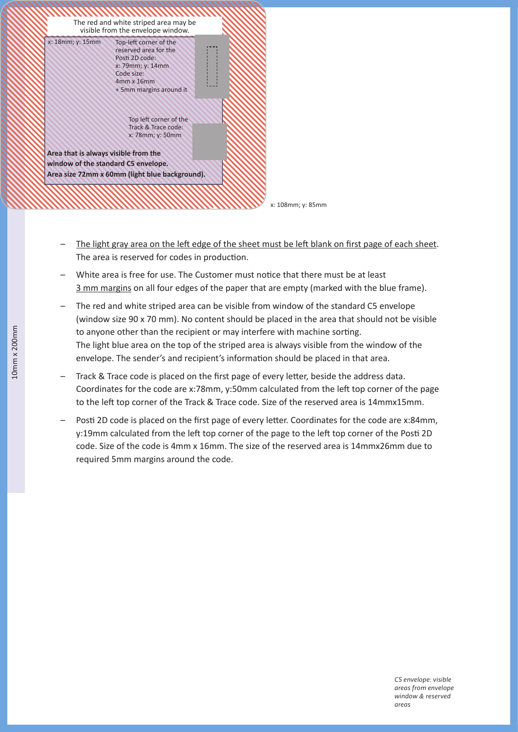

- The light gray area on the left edge of the sheet must be left blank on first page of each sheet. The area is reserved for codes in production.
- White area is free for use. The Customer must notice that there must be at least 3 mm margins on all four edges of the paper that are empty (marked with the blue frame).
- The red and white striped area can be visible from window of the standard C5 envelope (window size 90 x 70 mm). No content should be placed in the area that should not be visible to anyone other than the recipient or may interfere with machine sorting. The light blue area on the top of the striped area is always visible from the window of the envelope. The sender's and recipient's information should be placed in that area.
- Track & Trace code is placed on the first page of every letter, beside the address data. Coordinates for the code are x:78mm, y:50mm calculated from the left top corner of the page to the left top corner of the Track & Trace code. Size of the reserved area is 14mmx15mm.
- Posti 2D code is placed on the first page of every letter. Coordinates for the code are x:84mm, y:19mm calculated from the left top corner of the page to the left top corner of the Posti 2D code. Size of the code is 4mm x 16mm. The size of the reserved area is 14mmx26mm due to required 5mm margins around the code.

 *C5 envelope: visible areas from envelope window & reserved areas*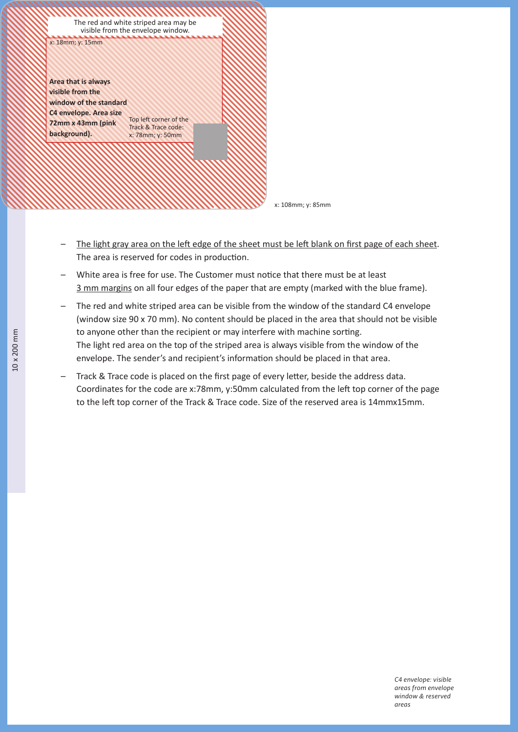

x: 108mm; y: 85mm

- The light gray area on the left edge of the sheet must be left blank on first page of each sheet. The area is reserved for codes in production.
- White area is free for use. The Customer must notice that there must be at least 3 mm margins on all four edges of the paper that are empty (marked with the blue frame).
- The red and white striped area can be visible from the window of the standard C4 envelope (window size 90 x 70 mm). No content should be placed in the area that should not be visible to anyone other than the recipient or may interfere with machine sorting. The light red area on the top of the striped area is always visible from the window of the envelope. The sender's and recipient's information should be placed in that area.
- Track & Trace code is placed on the first page of every letter, beside the address data. Coordinates for the code are x:78mm, y:50mm calculated from the left top corner of the page to the left top corner of the Track & Trace code. Size of the reserved area is 14mmx15mm.

 *C4 envelope: visible areas from envelope window & reserved areas*